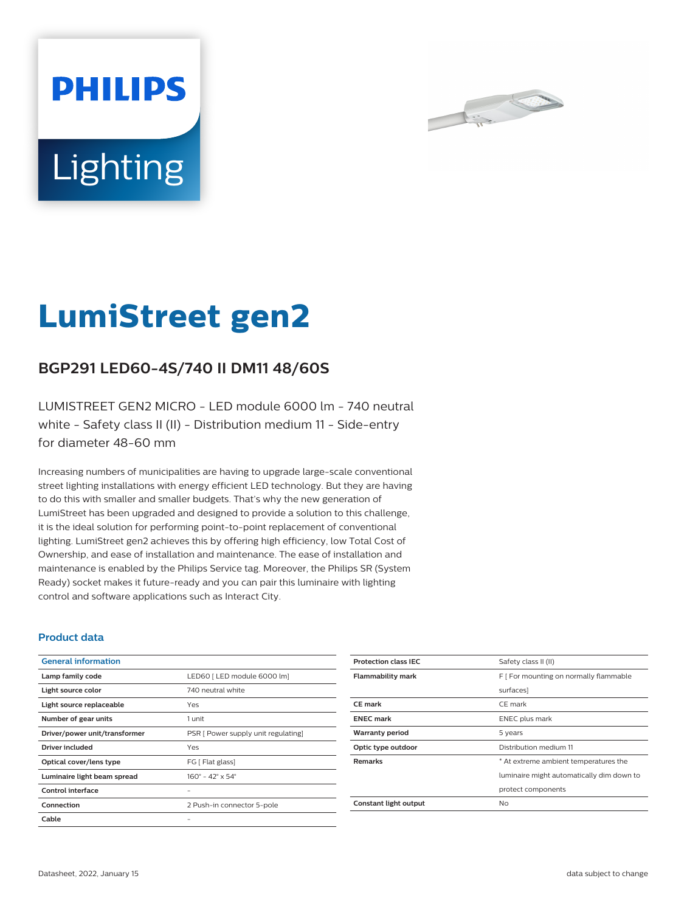



# **LumiStreet gen2**

# **BGP291 LED60-4S/740 II DM11 48/60S**

LUMISTREET GEN2 MICRO - LED module 6000 lm - 740 neutral white - Safety class II (II) - Distribution medium 11 - Side-entry for diameter 48-60 mm

Increasing numbers of municipalities are having to upgrade large-scale conventional street lighting installations with energy efficient LED technology. But they are having to do this with smaller and smaller budgets. That's why the new generation of LumiStreet has been upgraded and designed to provide a solution to this challenge, it is the ideal solution for performing point-to-point replacement of conventional lighting. LumiStreet gen2 achieves this by offering high efficiency, low Total Cost of Ownership, and ease of installation and maintenance. The ease of installation and maintenance is enabled by the Philips Service tag. Moreover, the Philips SR (System Ready) socket makes it future-ready and you can pair this luminaire with lighting control and software applications such as Interact City.

## **Product data**

| <b>General information</b>    |                                     |
|-------------------------------|-------------------------------------|
| Lamp family code              | LED60   LED module 6000 lm]         |
| Light source color            | 740 neutral white                   |
| Light source replaceable      | Yes                                 |
| Number of gear units          | 1 unit                              |
| Driver/power unit/transformer | PSR [ Power supply unit regulating] |
| Driver included               | Yes                                 |
| Optical cover/lens type       | FG [ Flat glass]                    |
| Luminaire light beam spread   | $160^{\circ}$ – 42° x 54°           |
| Control interface             |                                     |
| Connection                    | 2 Push-in connector 5-pole          |
| Cable                         |                                     |

| <b>Protection class IEC</b> | Safety class II (II)                      |
|-----------------------------|-------------------------------------------|
| <b>Flammability mark</b>    | F   For mounting on normally flammable    |
|                             | surfaces]                                 |
| <b>CE</b> mark              | CE mark                                   |
| <b>ENEC</b> mark            | ENEC plus mark                            |
| <b>Warranty period</b>      | 5 years                                   |
| Optic type outdoor          | Distribution medium 11                    |
| <b>Remarks</b>              | * At extreme ambient temperatures the     |
|                             | luminaire might automatically dim down to |
|                             | protect components                        |
| Constant light output       | Nο                                        |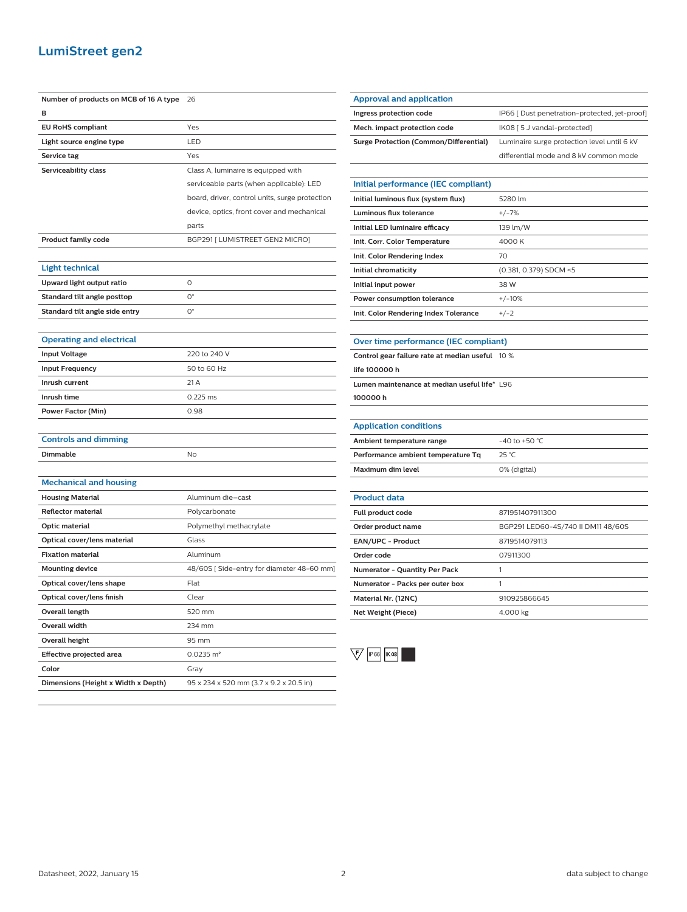## **LumiStreet gen2**

| Number of products on MCB of 16 A type | 26                                             |
|----------------------------------------|------------------------------------------------|
| в                                      |                                                |
| <b>EU RoHS compliant</b>               | Yes                                            |
| Light source engine type               | LED                                            |
| Service tag                            | Yes                                            |
| Serviceability class                   | Class A, luminaire is equipped with            |
|                                        | serviceable parts (when applicable): LED       |
|                                        | board, driver, control units, surge protection |
|                                        | device, optics, front cover and mechanical     |
|                                        | parts                                          |
| <b>Product family code</b>             | BGP291 [ LUMISTREET GEN2 MICRO]                |
|                                        |                                                |
| Light technical                        |                                                |
| Upward light output ratio              | 0                                              |
| Standard tilt angle posttop            | $O^{\circ}$                                    |
| Standard tilt angle side entry         | О°                                             |
|                                        |                                                |
| <b>Operating and electrical</b>        |                                                |
| <b>Input Voltage</b>                   | 220 to 240 V                                   |
| <b>Input Frequency</b>                 | 50 to 60 Hz                                    |
| Inrush current                         | 21A                                            |
| Inrush time                            | $0.225$ ms                                     |
| <b>Power Factor (Min)</b>              | 0.98                                           |
|                                        |                                                |
| <b>Controls and dimming</b>            |                                                |
| Dimmable                               | No                                             |
|                                        |                                                |
| <b>Mechanical and housing</b>          |                                                |
| <b>Housing Material</b>                | Aluminum die-cast                              |
| <b>Reflector material</b>              | Polycarbonate                                  |
| Optic material                         | Polymethyl methacrylate                        |
| Optical cover/lens material            | Glass                                          |
| <b>Fixation material</b>               | Aluminum                                       |
| <b>Mounting device</b>                 | 48/60S [Side-entry for diameter 48-60 mm]      |
| Optical cover/lens shape               | Flat                                           |
| Optical cover/lens finish              | Clear                                          |
| Overall length                         | 520 mm                                         |
| <b>Overall width</b>                   | 234 mm                                         |
| <b>Overall height</b>                  | 95 mm                                          |
| Effective projected area               | $0.0235 \, \text{m}^2$                         |
| Color                                  | Gray                                           |
| Dimensions (Height x Width x Depth)    | 95 x 234 x 520 mm (3.7 x 9.2 x 20.5 in)        |

| Approval and application               |                                               |
|----------------------------------------|-----------------------------------------------|
|                                        |                                               |
| Ingress protection code                | IP66   Dust penetration-protected, jet-proof] |
| Mech. impact protection code           | IK08 [ 5 J vandal-protected]                  |
| Surge Protection (Common/Differential) | Luminaire surge protection level until 6 kV   |
|                                        | differential mode and 8 kV common mode        |
|                                        |                                               |

| Initial performance (IEC compliant)   |                        |
|---------------------------------------|------------------------|
| Initial luminous flux (system flux)   | 5280 lm                |
| Luminous flux tolerance               | $+/-7%$                |
| Initial LED luminaire efficacy        | 139 lm/W               |
| Init. Corr. Color Temperature         | 4000 K                 |
| Init. Color Rendering Index           | 70                     |
| Initial chromaticity                  | (0.381, 0.379) SDCM <5 |
| Initial input power                   | 38 W                   |
| Power consumption tolerance           | $+/-10%$               |
| Init. Color Rendering Index Tolerance | $+/-2$                 |

## **Over time performance (IEC compliant)**

| Control gear failure rate at median useful 10 % |  |
|-------------------------------------------------|--|
| life 100000 h                                   |  |
| Lumen maintenance at median useful life* L96    |  |
| 100000h                                         |  |

#### **Application conditions**

| Ambient temperature range          | $-40$ to $+50$ °C. |
|------------------------------------|--------------------|
| Performance ambient temperature Tq | 25 °C              |
| Maximum dim level                  | 0% (digital)       |

| <b>Product data</b>                  |                                    |
|--------------------------------------|------------------------------------|
| <b>Full product code</b>             | 871951407911300                    |
| Order product name                   | BGP291 LED60-4S/740 II DM11 48/60S |
| <b>EAN/UPC - Product</b>             | 8719514079113                      |
| Order code                           | 07911300                           |
| <b>Numerator - Quantity Per Pack</b> |                                    |
| Numerator - Packs per outer box      |                                    |
| Material Nr. (12NC)                  | 910925866645                       |
| Net Weight (Piece)                   | 4.000 kg                           |